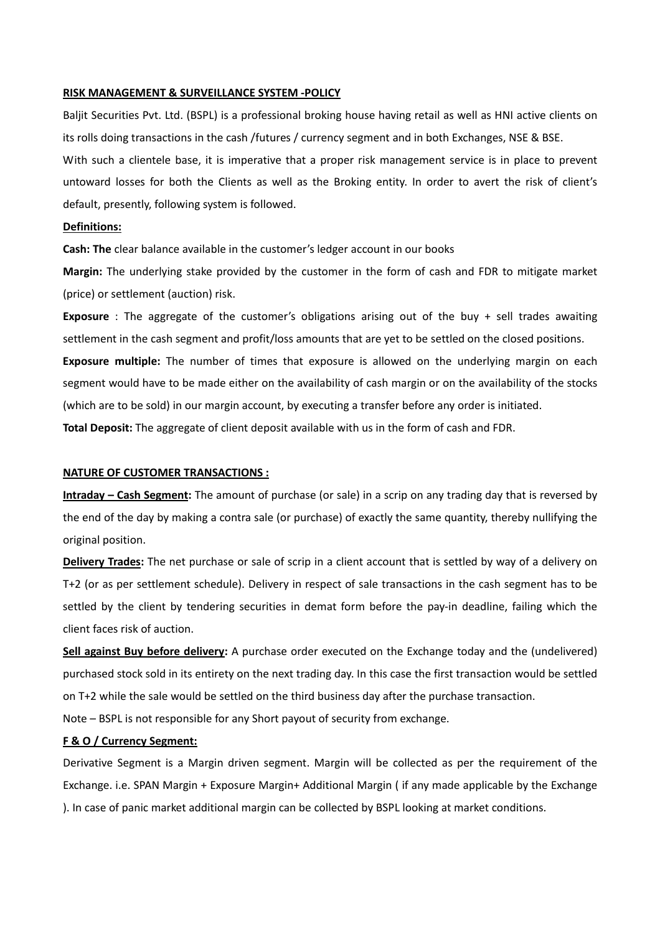#### **RISK MANAGEMENT & SURVEILLANCE SYSTEM ‐POLICY**

Baljit Securities Pvt. Ltd. (BSPL) is a professional broking house having retail as well as HNI active clients on its rolls doing transactions in the cash /futures / currency segment and in both Exchanges, NSE & BSE.

With such a clientele base, it is imperative that a proper risk management service is in place to prevent untoward losses for both the Clients as well as the Broking entity. In order to avert the risk of client's default, presently, following system is followed.

# **Definitions:**

**Cash: The** clear balance available in the customer's ledger account in our books

**Margin:** The underlying stake provided by the customer in the form of cash and FDR to mitigate market (price) or settlement (auction) risk.

**Exposure** : The aggregate of the customer's obligations arising out of the buy + sell trades awaiting settlement in the cash segment and profit/loss amounts that are yet to be settled on the closed positions.

**Exposure multiple:** The number of times that exposure is allowed on the underlying margin on each segment would have to be made either on the availability of cash margin or on the availability of the stocks (which are to be sold) in our margin account, by executing a transfer before any order is initiated.

**Total Deposit:** The aggregate of client deposit available with us in the form of cash and FDR.

### **NATURE OF CUSTOMER TRANSACTIONS :**

**Intraday – Cash Segment:** The amount of purchase (or sale) in a scrip on any trading day that is reversed by the end of the day by making a contra sale (or purchase) of exactly the same quantity, thereby nullifying the original position.

**Delivery Trades:** The net purchase or sale of scrip in a client account that is settled by way of a delivery on T+2 (or as per settlement schedule). Delivery in respect of sale transactions in the cash segment has to be settled by the client by tendering securities in demat form before the pay-in deadline, failing which the client faces risk of auction.

**Sell against Buy before delivery:** A purchase order executed on the Exchange today and the (undelivered) purchased stock sold in its entirety on the next trading day. In this case the first transaction would be settled on T+2 while the sale would be settled on the third business day after the purchase transaction.

Note – BSPL is not responsible for any Short payout of security from exchange.

# **F & O / Currency Segment:**

Derivative Segment is a Margin driven segment. Margin will be collected as per the requirement of the Exchange. i.e. SPAN Margin + Exposure Margin+ Additional Margin ( if any made applicable by the Exchange ). In case of panic market additional margin can be collected by BSPL looking at market conditions.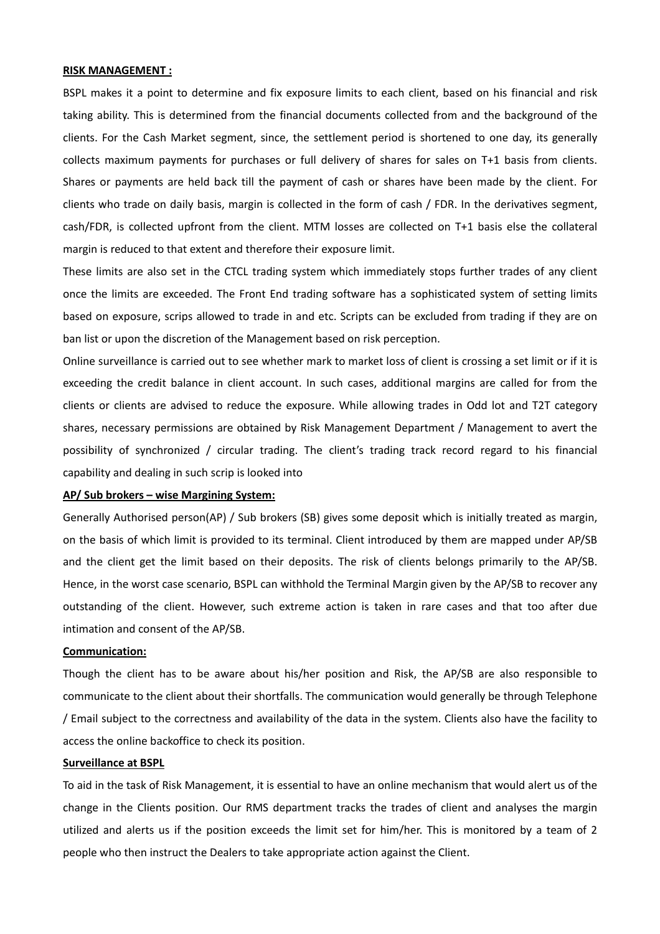## **RISK MANAGEMENT :**

BSPL makes it a point to determine and fix exposure limits to each client, based on his financial and risk taking ability. This is determined from the financial documents collected from and the background of the clients. For the Cash Market segment, since, the settlement period is shortened to one day, its generally collects maximum payments for purchases or full delivery of shares for sales on T+1 basis from clients. Shares or payments are held back till the payment of cash or shares have been made by the client. For clients who trade on daily basis, margin is collected in the form of cash / FDR. In the derivatives segment, cash/FDR, is collected upfront from the client. MTM losses are collected on T+1 basis else the collateral margin is reduced to that extent and therefore their exposure limit.

These limits are also set in the CTCL trading system which immediately stops further trades of any client once the limits are exceeded. The Front End trading software has a sophisticated system of setting limits based on exposure, scrips allowed to trade in and etc. Scripts can be excluded from trading if they are on ban list or upon the discretion of the Management based on risk perception.

Online surveillance is carried out to see whether mark to market loss of client is crossing a set limit or if it is exceeding the credit balance in client account. In such cases, additional margins are called for from the clients or clients are advised to reduce the exposure. While allowing trades in Odd lot and T2T category shares, necessary permissions are obtained by Risk Management Department / Management to avert the possibility of synchronized / circular trading. The client's trading track record regard to his financial capability and dealing in such scrip is looked into

# **AP/ Sub brokers – wise Margining System:**

Generally Authorised person(AP) / Sub brokers (SB) gives some deposit which is initially treated as margin, on the basis of which limit is provided to its terminal. Client introduced by them are mapped under AP/SB and the client get the limit based on their deposits. The risk of clients belongs primarily to the AP/SB. Hence, in the worst case scenario, BSPL can withhold the Terminal Margin given by the AP/SB to recover any outstanding of the client. However, such extreme action is taken in rare cases and that too after due intimation and consent of the AP/SB.

## **Communication:**

Though the client has to be aware about his/her position and Risk, the AP/SB are also responsible to communicate to the client about their shortfalls. The communication would generally be through Telephone / Email subject to the correctness and availability of the data in the system. Clients also have the facility to access the online backoffice to check its position.

# **Surveillance at BSPL**

To aid in the task of Risk Management, it is essential to have an online mechanism that would alert us of the change in the Clients position. Our RMS department tracks the trades of client and analyses the margin utilized and alerts us if the position exceeds the limit set for him/her. This is monitored by a team of 2 people who then instruct the Dealers to take appropriate action against the Client.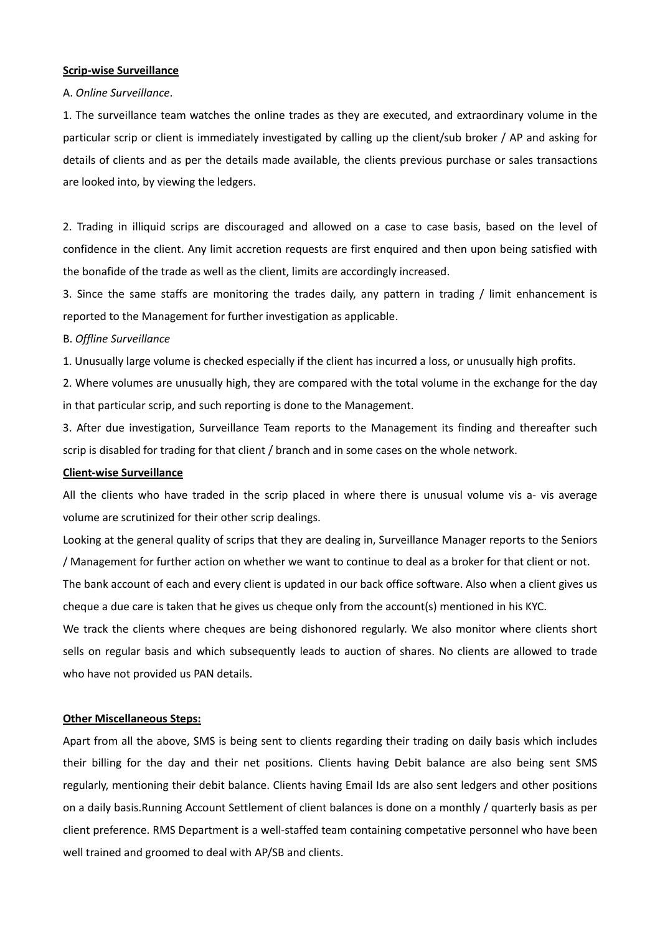# **Scrip‐wise Surveillance**

## A. *Online Surveillance*.

1. The surveillance team watches the online trades as they are executed, and extraordinary volume in the particular scrip or client is immediately investigated by calling up the client/sub broker / AP and asking for details of clients and as per the details made available, the clients previous purchase or sales transactions are looked into, by viewing the ledgers.

2. Trading in illiquid scrips are discouraged and allowed on a case to case basis, based on the level of confidence in the client. Any limit accretion requests are first enquired and then upon being satisfied with the bonafide of the trade as well as the client, limits are accordingly increased.

3. Since the same staffs are monitoring the trades daily, any pattern in trading / limit enhancement is reported to the Management for further investigation as applicable.

### B. *Offline Surveillance*

1. Unusually large volume is checked especially if the client has incurred a loss, or unusually high profits.

2. Where volumes are unusually high, they are compared with the total volume in the exchange for the day in that particular scrip, and such reporting is done to the Management.

3. After due investigation, Surveillance Team reports to the Management its finding and thereafter such scrip is disabled for trading for that client / branch and in some cases on the whole network.

## **Client‐wise Surveillance**

All the clients who have traded in the scrip placed in where there is unusual volume vis a- vis average volume are scrutinized for their other scrip dealings.

Looking at the general quality of scrips that they are dealing in, Surveillance Manager reports to the Seniors / Management for further action on whether we want to continue to deal as a broker for that client or not.

The bank account of each and every client is updated in our back office software. Also when a client gives us cheque a due care is taken that he gives us cheque only from the account(s) mentioned in his KYC.

We track the clients where cheques are being dishonored regularly. We also monitor where clients short sells on regular basis and which subsequently leads to auction of shares. No clients are allowed to trade who have not provided us PAN details.

### **Other Miscellaneous Steps:**

Apart from all the above, SMS is being sent to clients regarding their trading on daily basis which includes their billing for the day and their net positions. Clients having Debit balance are also being sent SMS regularly, mentioning their debit balance. Clients having Email Ids are also sent ledgers and other positions on a daily basis.Running Account Settlement of client balances is done on a monthly / quarterly basis as per client preference. RMS Department is a well‐staffed team containing competative personnel who have been well trained and groomed to deal with AP/SB and clients.